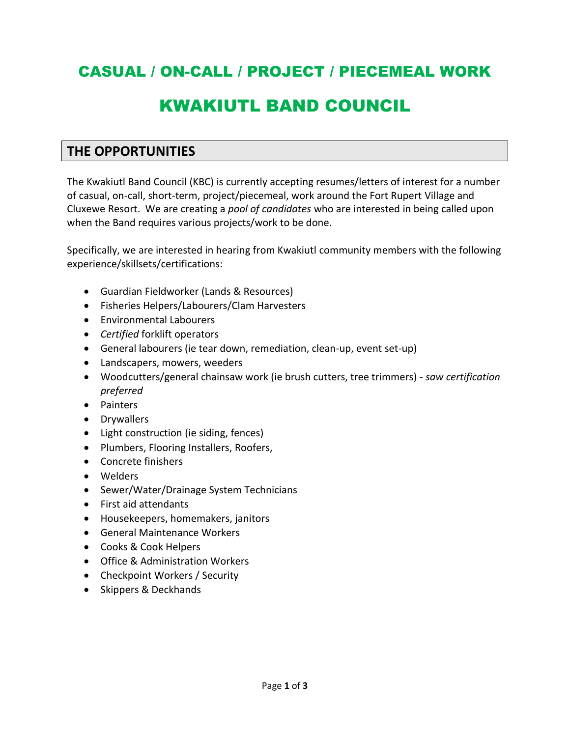# CASUAL / ON-CALL / PROJECT / PIECEMEAL WORK

# KWAKIUTL BAND COUNCIL

## **THE OPPORTUNITIES**

The Kwakiutl Band Council (KBC) is currently accepting resumes/letters of interest for a number of casual, on-call, short-term, project/piecemeal, work around the Fort Rupert Village and Cluxewe Resort. We are creating a *pool of candidates* who are interested in being called upon when the Band requires various projects/work to be done.

Specifically, we are interested in hearing from Kwakiutl community members with the following experience/skillsets/certifications:

- Guardian Fieldworker (Lands & Resources)
- Fisheries Helpers/Labourers/Clam Harvesters
- Environmental Labourers
- *Certified* forklift operators
- General labourers (ie tear down, remediation, clean-up, event set-up)
- Landscapers, mowers, weeders
- Woodcutters/general chainsaw work (ie brush cutters, tree trimmers) *saw certification preferred*
- Painters
- Drywallers
- Light construction (ie siding, fences)
- Plumbers, Flooring Installers, Roofers,
- Concrete finishers
- Welders
- Sewer/Water/Drainage System Technicians
- First aid attendants
- Housekeepers, homemakers, janitors
- General Maintenance Workers
- Cooks & Cook Helpers
- Office & Administration Workers
- Checkpoint Workers / Security
- Skippers & Deckhands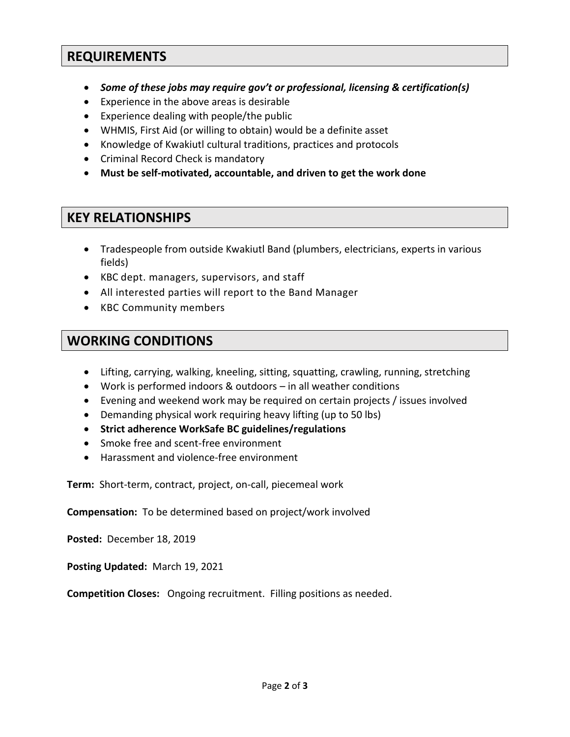#### **REQUIREMENTS**

- *Some of these jobs may require gov't or professional, licensing & certification(s)*
- Experience in the above areas is desirable
- Experience dealing with people/the public
- WHMIS, First Aid (or willing to obtain) would be a definite asset
- Knowledge of Kwakiutl cultural traditions, practices and protocols
- Criminal Record Check is mandatory
- **Must be self-motivated, accountable, and driven to get the work done**

## **KEY RELATIONSHIPS**

- Tradespeople from outside Kwakiutl Band (plumbers, electricians, experts in various fields)
- KBC dept. managers, supervisors, and staff
- All interested parties will report to the Band Manager
- KBC Community members

# **WORKING CONDITIONS**

- Lifting, carrying, walking, kneeling, sitting, squatting, crawling, running, stretching
- Work is performed indoors & outdoors in all weather conditions
- Evening and weekend work may be required on certain projects / issues involved
- Demanding physical work requiring heavy lifting (up to 50 lbs)
- **Strict adherence WorkSafe BC guidelines/regulations**
- Smoke free and scent-free environment
- Harassment and violence-free environment

**Term:** Short-term, contract, project, on-call, piecemeal work

**Compensation:** To be determined based on project/work involved

**Posted:** December 18, 2019

**Posting Updated:** March 19, 2021

**Competition Closes:** Ongoing recruitment. Filling positions as needed.